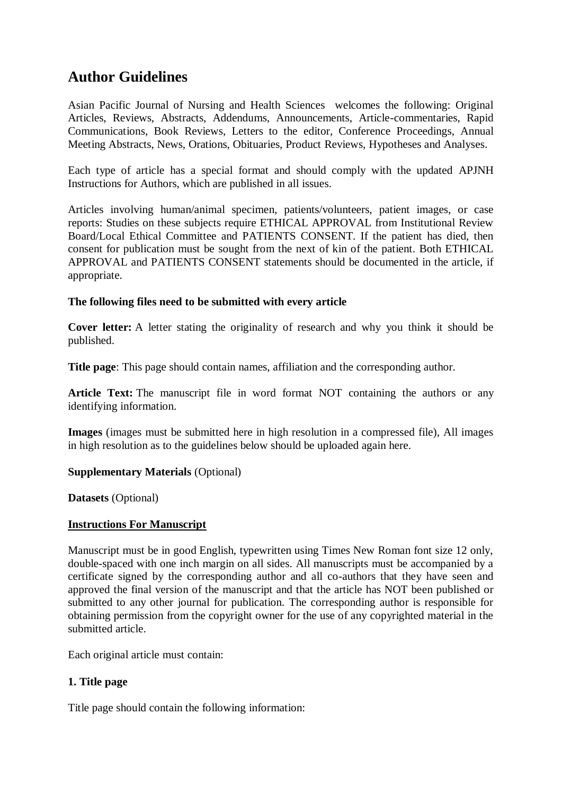# **Author Guidelines**

Asian Pacific Journal of Nursing and Health Sciences welcomes the following: Original Articles, Reviews, Abstracts, Addendums, Announcements, Article-commentaries, Rapid Communications, Book Reviews, Letters to the editor, Conference Proceedings, Annual Meeting Abstracts, News, Orations, Obituaries, Product Reviews, Hypotheses and Analyses.

Each type of article has a special format and should comply with the updated APJNH Instructions for Authors, which are published in all issues.

Articles involving human/animal specimen, patients/volunteers, patient images, or case reports: Studies on these subjects require ETHICAL APPROVAL from Institutional Review Board/Local Ethical Committee and PATIENTS CONSENT. If the patient has died, then consent for publication must be sought from the next of kin of the patient. Both ETHICAL APPROVAL and PATIENTS CONSENT statements should be documented in the article, if appropriate.

# **The following files need to be submitted with every article**

**Cover letter:** A letter stating the originality of research and why you think it should be published.

**Title page**: This page should contain names, affiliation and the corresponding author.

**Article Text:** The manuscript file in word format NOT containing the authors or any identifying information.

**Images** (images must be submitted here in high resolution in a compressed file), All images in high resolution as to the guidelines below should be uploaded again here.

# **Supplementary Materials** (Optional)

**Datasets** (Optional)

# **Instructions For Manuscript**

Manuscript must be in good English, typewritten using Times New Roman font size 12 only, double-spaced with one inch margin on all sides. All manuscripts must be accompanied by a certificate signed by the corresponding author and all co-authors that they have seen and approved the final version of the manuscript and that the article has NOT been published or submitted to any other journal for publication. The corresponding author is responsible for obtaining permission from the copyright owner for the use of any copyrighted material in the submitted article.

Each original article must contain:

# **1. Title page**

Title page should contain the following information: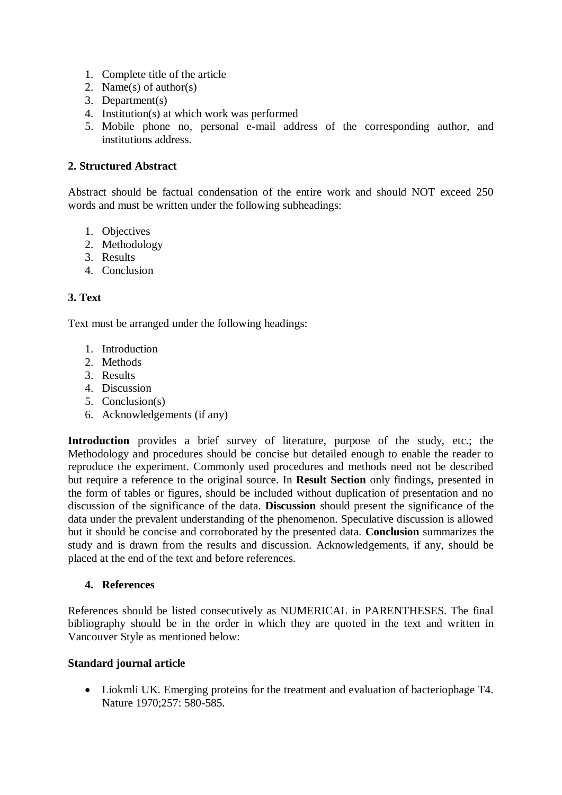- 1. Complete title of the article
- 2. Name(s) of author(s)
- 3. Department(s)
- 4. Institution(s) at which work was performed
- 5. Mobile phone no, personal e-mail address of the corresponding author, and institutions address.

## **2. Structured Abstract**

Abstract should be factual condensation of the entire work and should NOT exceed 250 words and must be written under the following subheadings:

- 1. Objectives
- 2. Methodology
- 3. Results
- 4. Conclusion

# **3. Text**

Text must be arranged under the following headings:

- 1. Introduction
- 2. Methods
- 3. Results
- 4. Discussion
- 5. Conclusion(s)
- 6. Acknowledgements (if any)

**Introduction** provides a brief survey of literature, purpose of the study, etc.; the Methodology and procedures should be concise but detailed enough to enable the reader to reproduce the experiment. Commonly used procedures and methods need not be described but require a reference to the original source. In **Result Section** only findings, presented in the form of tables or figures, should be included without duplication of presentation and no discussion of the significance of the data. **Discussion** should present the significance of the data under the prevalent understanding of the phenomenon. Speculative discussion is allowed but it should be concise and corroborated by the presented data. **Conclusion** summarizes the study and is drawn from the results and discussion. Acknowledgements, if any, should be placed at the end of the text and before references.

#### **4. References**

References should be listed consecutively as NUMERICAL in PARENTHESES. The final bibliography should be in the order in which they are quoted in the text and written in Vancouver Style as mentioned below:

#### **Standard journal article**

 Liokmli UK. Emerging proteins for the treatment and evaluation of bacteriophage T4. Nature 1970;257: 580-585.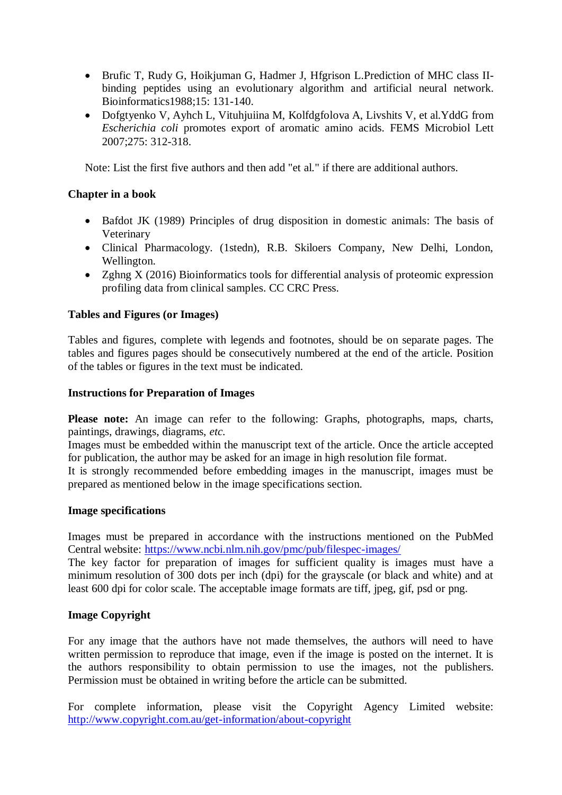- Brufic T, Rudy G, Hoikjuman G, Hadmer J, Hfgrison L.Prediction of MHC class IIbinding peptides using an evolutionary algorithm and artificial neural network. Bioinformatics1988;15: 131-140.
- Dofgtyenko V, Ayhch L, Vituhjuiina M, Kolfdgfolova A, Livshits V, et al.YddG from *Escherichia coli* promotes export of aromatic amino acids. FEMS Microbiol Lett 2007;275: 312-318.

Note: List the first five authors and then add "et al." if there are additional authors.

## **Chapter in a book**

- Bafdot JK (1989) Principles of drug disposition in domestic animals: The basis of Veterinary
- Clinical Pharmacology. (1stedn), R.B. Skiloers Company, New Delhi, London, Wellington.
- Zghng X (2016) Bioinformatics tools for differential analysis of proteomic expression profiling data from clinical samples. CC CRC Press.

## **Tables and Figures (or Images)**

Tables and figures, complete with legends and footnotes, should be on separate pages. The tables and figures pages should be consecutively numbered at the end of the article. Position of the tables or figures in the text must be indicated.

#### **Instructions for Preparation of Images**

Please note: An image can refer to the following: Graphs, photographs, maps, charts, paintings, drawings, diagrams, *etc.*

Images must be embedded within the manuscript text of the article. Once the article accepted for publication, the author may be asked for an image in high resolution file format.

It is strongly recommended before embedding images in the manuscript, images must be prepared as mentioned below in the image specifications section.

#### **Image specifications**

Images must be prepared in accordance with the instructions mentioned on the PubMed Central website:<https://www.ncbi.nlm.nih.gov/pmc/pub/filespec-images/>

The key factor for preparation of images for sufficient quality is images must have a minimum resolution of 300 dots per inch (dpi) for the grayscale (or black and white) and at least 600 dpi for color scale. The acceptable image formats are tiff, jpeg, gif, psd or png.

#### **Image Copyright**

For any image that the authors have not made themselves, the authors will need to have written permission to reproduce that image, even if the image is posted on the internet. It is the authors responsibility to obtain permission to use the images, not the publishers. Permission must be obtained in writing before the article can be submitted.

For complete information, please visit the Copyright Agency Limited website: <http://www.copyright.com.au/get-information/about-copyright>